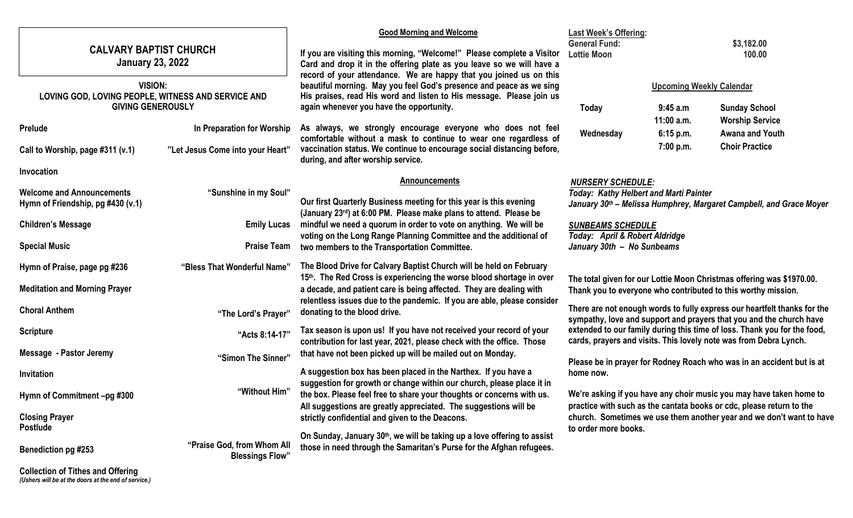|                                                                                                                                          |                                                                   | <b>Good Morning and Welcome</b>                                                                                                                                                                                                                                                                                                                                                                                                      | <b>Last Week's Offering:</b>                                                                                                                                                                                                                                                              |                                                                     |                                                                    |  |
|------------------------------------------------------------------------------------------------------------------------------------------|-------------------------------------------------------------------|--------------------------------------------------------------------------------------------------------------------------------------------------------------------------------------------------------------------------------------------------------------------------------------------------------------------------------------------------------------------------------------------------------------------------------------|-------------------------------------------------------------------------------------------------------------------------------------------------------------------------------------------------------------------------------------------------------------------------------------------|---------------------------------------------------------------------|--------------------------------------------------------------------|--|
| <b>CALVARY BAPTIST CHURCH</b><br><b>January 23, 2022</b>                                                                                 |                                                                   | If you are visiting this morning, "Welcome!" Please complete a Visitor<br>Card and drop it in the offering plate as you leave so we will have a<br>record of your attendance. We are happy that you joined us on this<br>beautiful morning. May you feel God's presence and peace as we sing<br>His praises, read His word and listen to His message. Please join us<br>again whenever you have the opportunity.                     | <b>General Fund:</b><br>\$3,182.00<br><b>Lottie Moon</b><br>100.00                                                                                                                                                                                                                        |                                                                     |                                                                    |  |
| <b>VISION:</b><br>LOVING GOD, LOVING PEOPLE, WITNESS AND SERVICE AND<br><b>GIVING GENEROUSLY</b>                                         |                                                                   |                                                                                                                                                                                                                                                                                                                                                                                                                                      | Today                                                                                                                                                                                                                                                                                     | <b>Upcoming Weekly Calendar</b><br>9:45 a.m                         | <b>Sunday School</b>                                               |  |
| Prelude<br>Call to Worship, page #311 (v.1)                                                                                              | In Preparation for Worship<br>"Let Jesus Come into your Heart"    | As always, we strongly encourage everyone who does not feel<br>comfortable without a mask to continue to wear one regardless of<br>vaccination status. We continue to encourage social distancing before,<br>during, and after worship service.                                                                                                                                                                                      | Wednesday                                                                                                                                                                                                                                                                                 | $11:00$ a.m.<br>6:15 p.m.<br>7:00 p.m.                              | <b>Worship Service</b><br>Awana and Youth<br><b>Choir Practice</b> |  |
| Invocation<br><b>Welcome and Announcements</b><br>Hymn of Friendship, pg #430 (v.1)<br><b>Children's Message</b><br><b>Special Music</b> | "Sunshine in my Soul"<br><b>Emily Lucas</b><br><b>Praise Team</b> | <b>Announcements</b><br>Our first Quarterly Business meeting for this year is this evening<br>(January 23rd) at 6:00 PM. Please make plans to attend. Please be<br>mindful we need a quorum in order to vote on anything. We will be<br>voting on the Long Range Planning Committee and the additional of<br>two members to the Transportation Committee.                                                                            | <b>NURSERY SCHEDULE:</b><br><b>Today: Kathy Helbert and Marti Painter</b><br><b>SUNBEAMS SCHEDULE</b><br>Today: April & Robert Aldridge<br>January 30th - No Sunbeams                                                                                                                     | January 30th - Melissa Humphrey, Margaret Campbell, and Grace Moyer |                                                                    |  |
| Hymn of Praise, page pg #236<br><b>Meditation and Morning Prayer</b><br><b>Choral Anthem</b>                                             | "Bless That Wonderful Name"<br>"The Lord's Prayer"                | The Blood Drive for Calvary Baptist Church will be held on February<br>15th. The Red Cross is experiencing the worse blood shortage in over<br>a decade, and patient care is being affected. They are dealing with<br>relentless issues due to the pandemic. If you are able, please consider<br>donating to the blood drive.                                                                                                        | The total given for our Lottie Moon Christmas offering was \$1970.00.<br>Thank you to everyone who contributed to this worthy mission.<br>There are not enough words to fully express our heartfelt thanks for the<br>sympathy, love and support and prayers that you and the church have |                                                                     |                                                                    |  |
| <b>Scripture</b><br><b>Message - Pastor Jeremy</b>                                                                                       | "Acts 8:14-17"<br>"Simon The Sinner"                              | extended to our family during this time of loss. Thank you for the food,<br>Tax season is upon us! If you have not received your record of your<br>cards, prayers and visits. This lovely note was from Debra Lynch.<br>contribution for last year, 2021, please check with the office. Those<br>that have not been picked up will be mailed out on Monday.<br>Please be in prayer for Rodney Roach who was in an accident but is at |                                                                                                                                                                                                                                                                                           |                                                                     |                                                                    |  |
| Invitation<br>Hymn of Commitment-pg #300<br><b>Closing Prayer</b>                                                                        | "Without Him"                                                     | A suggestion box has been placed in the Narthex. If you have a<br>suggestion for growth or change within our church, please place it in<br>the box. Please feel free to share your thoughts or concerns with us.<br>All suggestions are greatly appreciated. The suggestions will be<br>strictly confidential and given to the Deacons.                                                                                              | home now.<br>We're asking if you have any choir music you may have taken home to<br>practice with such as the cantata books or cdc, please return to the<br>church. Sometimes we use them another year and we don't want to have                                                          |                                                                     |                                                                    |  |
| <b>Postlude</b><br><b>Benediction pg #253</b><br><b>Collection of Tithes and Offering</b>                                                | "Praise God, from Whom All<br><b>Blessings Flow"</b>              | On Sunday, January 30 <sup>th</sup> , we will be taking up a love offering to assist<br>those in need through the Samaritan's Purse for the Afghan refugees.                                                                                                                                                                                                                                                                         | to order more books.                                                                                                                                                                                                                                                                      |                                                                     |                                                                    |  |

*(Ushers will be at the doors at the end of service.)*